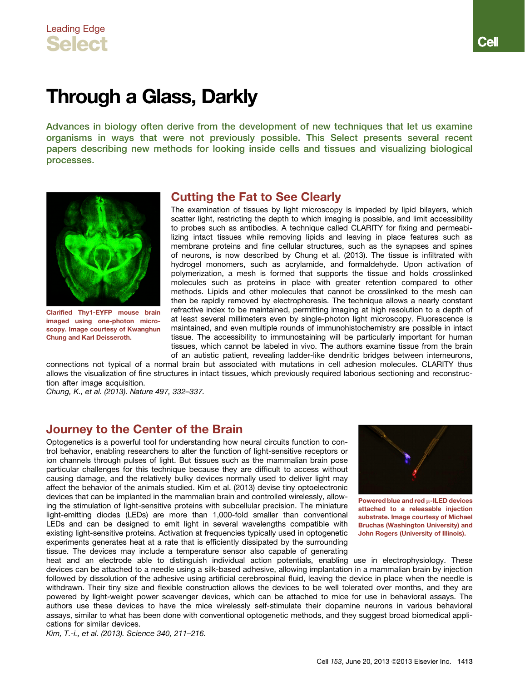# Through a Glass, Darkly

Advances in biology often derive from the development of new techniques that let us examine organisms in ways that were not previously possible. This Select presents several recent papers describing new methods for looking inside cells and tissues and visualizing biological processes.



Clarified Thy1-EYFP mouse brain imaged using one-photon microscopy. Image courtesy of Kwanghun Chung and Karl Deisseroth.

### Cutting the Fat to See Clearly

The examination of tissues by light microscopy is impeded by lipid bilayers, which scatter light, restricting the depth to which imaging is possible, and limit accessibility to probes such as antibodies. A technique called CLARITY for fixing and permeabilizing intact tissues while removing lipids and leaving in place features such as membrane proteins and fine cellular structures, such as the synapses and spines of neurons, is now described by Chung et al. (2013). The tissue is infiltrated with hydrogel monomers, such as acrylamide, and formaldehyde. Upon activation of polymerization, a mesh is formed that supports the tissue and holds crosslinked molecules such as proteins in place with greater retention compared to other methods. Lipids and other molecules that cannot be crosslinked to the mesh can then be rapidly removed by electrophoresis. The technique allows a nearly constant refractive index to be maintained, permitting imaging at high resolution to a depth of at least several millimeters even by single-photon light microscopy. Fluorescence is maintained, and even multiple rounds of immunohistochemistry are possible in intact tissue. The accessibility to immunostaining will be particularly important for human tissues, which cannot be labeled in vivo. The authors examine tissue from the brain of an autistic patient, revealing ladder-like dendritic bridges between interneurons,

connections not typical of a normal brain but associated with mutations in cell adhesion molecules. CLARITY thus allows the visualization of fine structures in intact tissues, which previously required laborious sectioning and reconstruction after image acquisition.

*Chung, K., et al. (2013). Nature 497, 332–337.*

### Journey to the Center of the Brain

Optogenetics is a powerful tool for understanding how neural circuits function to control behavior, enabling researchers to alter the function of light-sensitive receptors or ion channels through pulses of light. But tissues such as the mammalian brain pose particular challenges for this technique because they are difficult to access without causing damage, and the relatively bulky devices normally used to deliver light may affect the behavior of the animals studied. Kim et al. (2013) devise tiny optoelectronic devices that can be implanted in the mammalian brain and controlled wirelessly, allowing the stimulation of light-sensitive proteins with subcellular precision. The miniature light-emitting diodes (LEDs) are more than 1,000-fold smaller than conventional LEDs and can be designed to emit light in several wavelengths compatible with existing light-sensitive proteins. Activation at frequencies typically used in optogenetic experiments generates heat at a rate that is efficiently dissipated by the surrounding tissue. The devices may include a temperature sensor also capable of generating



Powered blue and red m-ILED devices attached to a releasable injection substrate. Image courtesy of Michael Bruchas (Washington University) and John Rogers (University of Illinois).

heat and an electrode able to distinguish individual action potentials, enabling use in electrophysiology. These devices can be attached to a needle using a silk-based adhesive, allowing implantation in a mammalian brain by injection followed by dissolution of the adhesive using artificial cerebrospinal fluid, leaving the device in place when the needle is withdrawn. Their tiny size and flexible construction allows the devices to be well tolerated over months, and they are powered by light-weight power scavenger devices, which can be attached to mice for use in behavioral assays. The authors use these devices to have the mice wirelessly self-stimulate their dopamine neurons in various behavioral assays, similar to what has been done with conventional optogenetic methods, and they suggest broad biomedical applications for similar devices.

*Kim, T.-i., et al. (2013). Science 340, 211–216.*